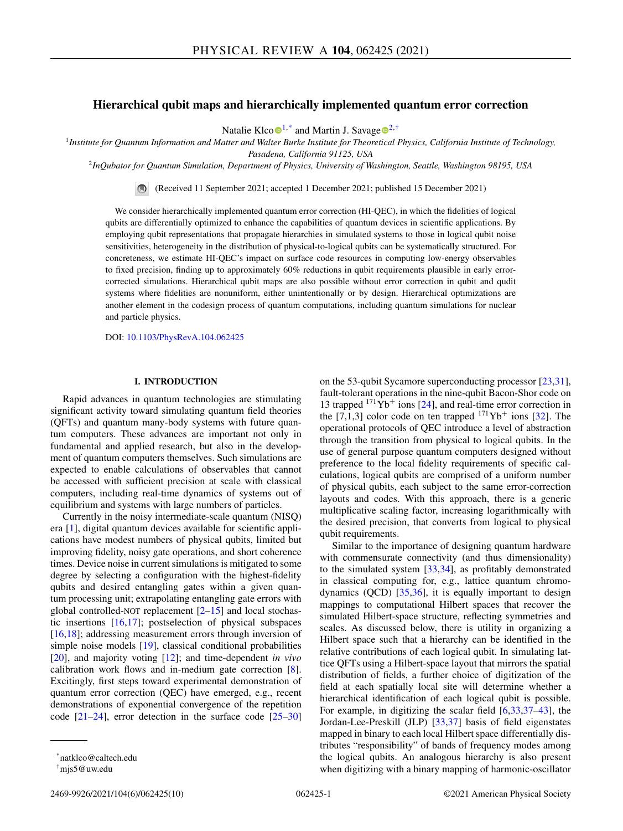# **Hierarchical qubit maps and hierarchically implemented quantum error correction**

Natalie Klc[o](https://orcid.org/0000-0003-2534-876X) $\mathbf{0}^{1,*}$  and Martin J. Savage  $\mathbf{0}^{2,*}$  $\mathbf{0}^{2,*}$  $\mathbf{0}^{2,*}$ 

<sup>1</sup>*Institute for Quantum Information and Matter and Walter Burke Institute for Theoretical Physics, California Institute of Technology, Pasadena, California 91125, USA*

<sup>2</sup>*InQubator for Quantum Simulation, Department of Physics, University of Washington, Seattle, Washington 98195, USA*

(Received 11 September 2021; accepted 1 December 2021; published 15 December 2021)

We consider hierarchically implemented quantum error correction (HI-QEC), in which the fidelities of logical qubits are differentially optimized to enhance the capabilities of quantum devices in scientific applications. By employing qubit representations that propagate hierarchies in simulated systems to those in logical qubit noise sensitivities, heterogeneity in the distribution of physical-to-logical qubits can be systematically structured. For concreteness, we estimate HI-QEC's impact on surface code resources in computing low-energy observables to fixed precision, finding up to approximately 60% reductions in qubit requirements plausible in early errorcorrected simulations. Hierarchical qubit maps are also possible without error correction in qubit and qudit systems where fidelities are nonuniform, either unintentionally or by design. Hierarchical optimizations are another element in the codesign process of quantum computations, including quantum simulations for nuclear and particle physics.

DOI: [10.1103/PhysRevA.104.062425](https://doi.org/10.1103/PhysRevA.104.062425)

# **I. INTRODUCTION**

Rapid advances in quantum technologies are stimulating significant activity toward simulating quantum field theories (QFTs) and quantum many-body systems with future quantum computers. These advances are important not only in fundamental and applied research, but also in the development of quantum computers themselves. Such simulations are expected to enable calculations of observables that cannot be accessed with sufficient precision at scale with classical computers, including real-time dynamics of systems out of equilibrium and systems with large numbers of particles.

Currently in the noisy intermediate-scale quantum (NISQ) era [\[1\]](#page-8-0), digital quantum devices available for scientific applications have modest numbers of physical qubits, limited but improving fidelity, noisy gate operations, and short coherence times. Device noise in current simulations is mitigated to some degree by selecting a configuration with the highest-fidelity qubits and desired entangling gates within a given quantum processing unit; extrapolating entangling gate errors with global controlled-NOT replacement  $[2-15]$  and local stochastic insertions [\[16,17\]](#page-8-0); postselection of physical subspaces [\[16,18\]](#page-8-0); addressing measurement errors through inversion of simple noise models [\[19\]](#page-8-0), classical conditional probabilities [\[20\]](#page-8-0), and majority voting [\[12\]](#page-8-0); and time-dependent *in vivo* calibration work flows and in-medium gate correction [\[8\]](#page-8-0). Excitingly, first steps toward experimental demonstration of quantum error correction (QEC) have emerged, e.g., recent demonstrations of exponential convergence of the repetition code  $[21-24]$ , error detection in the surface code  $[25-30]$ 

on the 53-qubit Sycamore superconducting processor [\[23,31\]](#page-8-0), fault-tolerant operations in the nine-qubit Bacon-Shor code on 13 trapped  $171Yb<sup>+</sup>$  ions [\[24\]](#page-8-0), and real-time error correction in the  $[7,1,3]$  color code on ten trapped  $^{171}Yb^+$  ions  $[32]$ . The operational protocols of QEC introduce a level of abstraction through the transition from physical to logical qubits. In the use of general purpose quantum computers designed without preference to the local fidelity requirements of specific calculations, logical qubits are comprised of a uniform number of physical qubits, each subject to the same error-correction layouts and codes. With this approach, there is a generic multiplicative scaling factor, increasing logarithmically with the desired precision, that converts from logical to physical qubit requirements.

Similar to the importance of designing quantum hardware with commensurate connectivity (and thus dimensionality) to the simulated system [\[33,34\]](#page-8-0), as profitably demonstrated in classical computing for, e.g., lattice quantum chromodynamics  $(QCD)$   $[35,36]$  $[35,36]$ , it is equally important to design mappings to computational Hilbert spaces that recover the simulated Hilbert-space structure, reflecting symmetries and scales. As discussed below, there is utility in organizing a Hilbert space such that a hierarchy can be identified in the relative contributions of each logical qubit. In simulating lattice QFTs using a Hilbert-space layout that mirrors the spatial distribution of fields, a further choice of digitization of the field at each spatially local site will determine whether a hierarchical identification of each logical qubit is possible. For example, in digitizing the scalar field [\[6,33,](#page-8-0)[37–43\]](#page-9-0), the Jordan-Lee-Preskill (JLP) [\[33](#page-8-0)[,37\]](#page-9-0) basis of field eigenstates mapped in binary to each local Hilbert space differentially distributes "responsibility" of bands of frequency modes among the logical qubits. An analogous hierarchy is also present when digitizing with a binary mapping of harmonic-oscillator

<sup>\*</sup>natklco@caltech.edu

<sup>†</sup>mjs5@uw.edu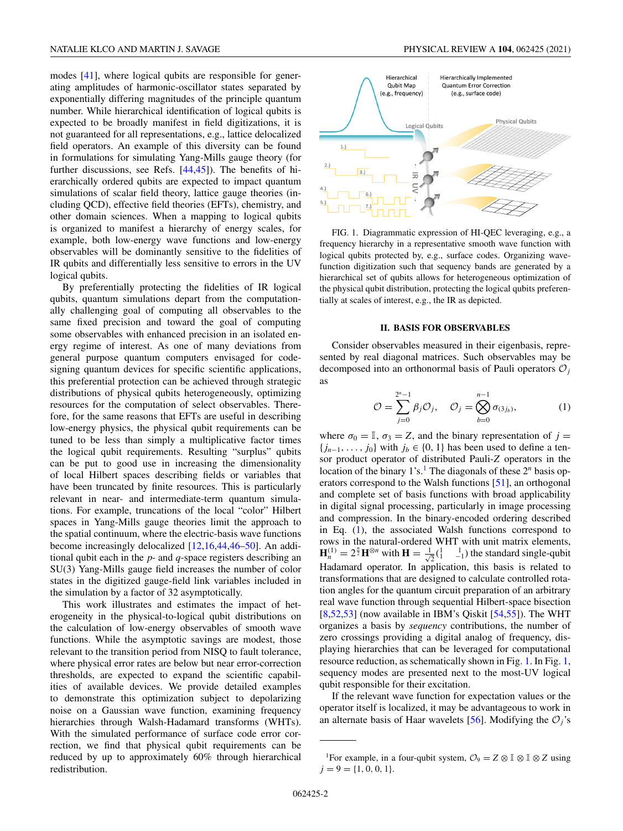<span id="page-1-0"></span>modes [\[41\]](#page-9-0), where logical qubits are responsible for generating amplitudes of harmonic-oscillator states separated by exponentially differing magnitudes of the principle quantum number. While hierarchical identification of logical qubits is expected to be broadly manifest in field digitizations, it is not guaranteed for all representations, e.g., lattice delocalized field operators. An example of this diversity can be found in formulations for simulating Yang-Mills gauge theory (for further discussions, see Refs. [\[44,45\]](#page-9-0)). The benefits of hierarchically ordered qubits are expected to impact quantum simulations of scalar field theory, lattice gauge theories (including QCD), effective field theories (EFTs), chemistry, and other domain sciences. When a mapping to logical qubits is organized to manifest a hierarchy of energy scales, for example, both low-energy wave functions and low-energy observables will be dominantly sensitive to the fidelities of IR qubits and differentially less sensitive to errors in the UV logical qubits.

By preferentially protecting the fidelities of IR logical qubits, quantum simulations depart from the computationally challenging goal of computing all observables to the same fixed precision and toward the goal of computing some observables with enhanced precision in an isolated energy regime of interest. As one of many deviations from general purpose quantum computers envisaged for codesigning quantum devices for specific scientific applications, this preferential protection can be achieved through strategic distributions of physical qubits heterogeneously, optimizing resources for the computation of select observables. Therefore, for the same reasons that EFTs are useful in describing low-energy physics, the physical qubit requirements can be tuned to be less than simply a multiplicative factor times the logical qubit requirements. Resulting "surplus" qubits can be put to good use in increasing the dimensionality of local Hilbert spaces describing fields or variables that have been truncated by finite resources. This is particularly relevant in near- and intermediate-term quantum simulations. For example, truncations of the local "color" Hilbert spaces in Yang-Mills gauge theories limit the approach to the spatial continuum, where the electric-basis wave functions become increasingly delocalized [\[12,16](#page-8-0)[,44,46–50\]](#page-9-0). An additional qubit each in the *p*- and *q*-space registers describing an SU(3) Yang-Mills gauge field increases the number of color states in the digitized gauge-field link variables included in the simulation by a factor of 32 asymptotically.

This work illustrates and estimates the impact of heterogeneity in the physical-to-logical qubit distributions on the calculation of low-energy observables of smooth wave functions. While the asymptotic savings are modest, those relevant to the transition period from NISQ to fault tolerance, where physical error rates are below but near error-correction thresholds, are expected to expand the scientific capabilities of available devices. We provide detailed examples to demonstrate this optimization subject to depolarizing noise on a Gaussian wave function, examining frequency hierarchies through Walsh-Hadamard transforms (WHTs). With the simulated performance of surface code error correction, we find that physical qubit requirements can be reduced by up to approximately 60% through hierarchical redistribution.



FIG. 1. Diagrammatic expression of HI-QEC leveraging, e.g., a frequency hierarchy in a representative smooth wave function with logical qubits protected by, e.g., surface codes. Organizing wavefunction digitization such that sequency bands are generated by a hierarchical set of qubits allows for heterogeneous optimization of the physical qubit distribution, protecting the logical qubits preferentially at scales of interest, e.g., the IR as depicted.

# **II. BASIS FOR OBSERVABLES**

Consider observables measured in their eigenbasis, represented by real diagonal matrices. Such observables may be decomposed into an orthonormal basis of Pauli operators  $\mathcal{O}_i$ as

$$
\mathcal{O} = \sum_{j=0}^{2^n - 1} \beta_j \mathcal{O}_j, \quad \mathcal{O}_j = \bigotimes_{b=0}^{n-1} \sigma_{(3j_b)}, \tag{1}
$$

where  $\sigma_0 = \mathbb{I}$ ,  $\sigma_3 = Z$ , and the binary representation of  $j =$  ${j_{n-1}, \ldots, j_0}$  with  $j_b \in \{0, 1\}$  has been used to define a tensor product operator of distributed Pauli-*Z* operators in the location of the binary  $1's$ .<sup>1</sup> The diagonals of these  $2<sup>n</sup>$  basis operators correspond to the Walsh functions [\[51\]](#page-9-0), an orthogonal and complete set of basis functions with broad applicability in digital signal processing, particularly in image processing and compression. In the binary-encoded ordering described in Eq. (1), the associated Walsh functions correspond to rows in the natural-ordered WHT with unit matrix elements,  $\mathbf{H}_n^{(1)} = 2^{\frac{n}{2}} \mathbf{H}^{\otimes n}$  with  $\mathbf{H} = \frac{1}{\sqrt{2}} \begin{pmatrix} 1 & 1 \\ 1 & -1 \end{pmatrix}$  the standard single-qubit Hadamard operator. In application, this basis is related to transformations that are designed to calculate controlled rotation angles for the quantum circuit preparation of an arbitrary real wave function through sequential Hilbert-space bisection  $[8,52,53]$  $[8,52,53]$  (now available in IBM's Qiskit  $[54,55]$ ). The WHT organizes a basis by *sequency* contributions, the number of zero crossings providing a digital analog of frequency, displaying hierarchies that can be leveraged for computational resource reduction, as schematically shown in Fig. 1. In Fig. 1, sequency modes are presented next to the most-UV logical qubit responsible for their excitation.

If the relevant wave function for expectation values or the operator itself is localized, it may be advantageous to work in an alternate basis of Haar wavelets [\[56\]](#page-9-0). Modifying the  $O_i$ 's

<sup>&</sup>lt;sup>1</sup>For example, in a four-qubit system,  $\mathcal{O}_9 = Z \otimes \mathbb{I} \otimes \mathbb{I} \otimes Z$  using  $j = 9 = \{1, 0, 0, 1\}.$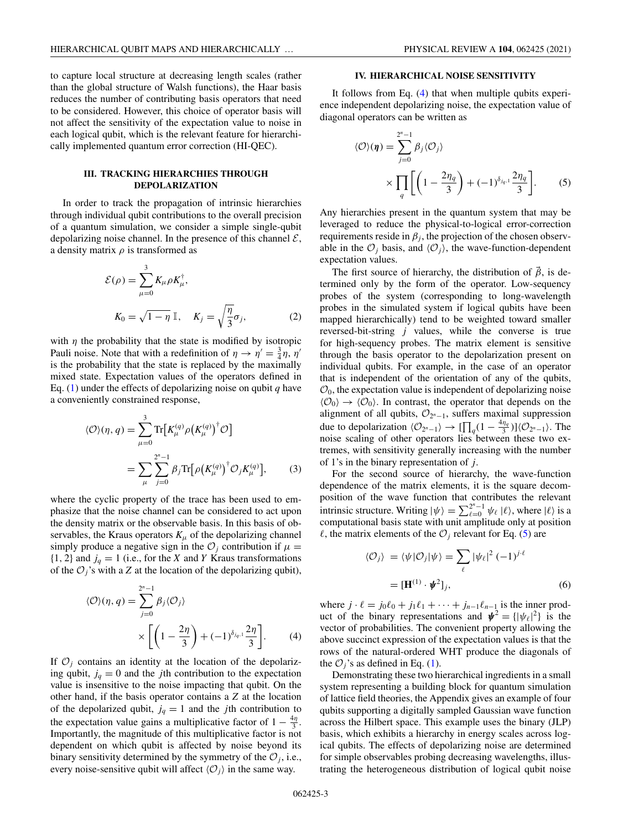<span id="page-2-0"></span>to capture local structure at decreasing length scales (rather than the global structure of Walsh functions), the Haar basis reduces the number of contributing basis operators that need to be considered. However, this choice of operator basis will not affect the sensitivity of the expectation value to noise in each logical qubit, which is the relevant feature for hierarchically implemented quantum error correction (HI-QEC).

# **III. TRACKING HIERARCHIES THROUGH DEPOLARIZATION**

In order to track the propagation of intrinsic hierarchies through individual qubit contributions to the overall precision of a quantum simulation, we consider a simple single-qubit depolarizing noise channel. In the presence of this channel  $\mathcal{E}$ , a density matrix  $\rho$  is transformed as

$$
\mathcal{E}(\rho) = \sum_{\mu=0}^{3} K_{\mu} \rho K_{\mu}^{\dagger},
$$
  

$$
K_0 = \sqrt{1 - \eta} \, \mathbb{I}, \quad K_j = \sqrt{\frac{\eta}{3}} \sigma_j,
$$
 (2)

with  $\eta$  the probability that the state is modified by isotropic Pauli noise. Note that with a redefinition of  $\eta \to \eta' = \frac{3}{4}\eta$ ,  $\eta'$ is the probability that the state is replaced by the maximally mixed state. Expectation values of the operators defined in Eq.  $(1)$  under the effects of depolarizing noise on qubit *q* have a conveniently constrained response,

$$
\langle \mathcal{O} \rangle(\eta, q) = \sum_{\mu=0}^{3} \text{Tr} \big[ K_{\mu}^{(q)} \rho \big( K_{\mu}^{(q)} \big)^{\dagger} \mathcal{O} \big]
$$

$$
= \sum_{\mu} \sum_{j=0}^{2^{n}-1} \beta_{j} \text{Tr} \big[ \rho \big( K_{\mu}^{(q)} \big)^{\dagger} \mathcal{O}_{j} K_{\mu}^{(q)} \big], \qquad (3)
$$

where the cyclic property of the trace has been used to emphasize that the noise channel can be considered to act upon the density matrix or the observable basis. In this basis of observables, the Kraus operators  $K_{\mu}$  of the depolarizing channel simply produce a negative sign in the  $\mathcal{O}_j$  contribution if  $\mu =$  $\{1, 2\}$  and  $j_q = 1$  (i.e., for the *X* and *Y* Kraus transformations of the  $O_i$ 's with a *Z* at the location of the depolarizing qubit),

$$
\langle \mathcal{O} \rangle(\eta, q) = \sum_{j=0}^{2^n - 1} \beta_j \langle \mathcal{O}_j \rangle
$$

$$
\times \left[ \left( 1 - \frac{2\eta}{3} \right) + (-1)^{\delta_{j_q, 1}} \frac{2\eta}{3} \right]. \tag{4}
$$

If  $O_i$  contains an identity at the location of the depolarizing qubit,  $j_q = 0$  and the *j*th contribution to the expectation value is insensitive to the noise impacting that qubit. On the other hand, if the basis operator contains a *Z* at the location of the depolarized qubit,  $j_q = 1$  and the *j*th contribution to the expectation value gains a multiplicative factor of  $1 - \frac{4\eta}{3}$ . Importantly, the magnitude of this multiplicative factor is not dependent on which qubit is affected by noise beyond its binary sensitivity determined by the symmetry of the  $\mathcal{O}_i$ , i.e., every noise-sensitive qubit will affect  $\langle O_i \rangle$  in the same way.

## **IV. HIERARCHICAL NOISE SENSITIVITY**

It follows from Eq. (4) that when multiple qubits experience independent depolarizing noise, the expectation value of diagonal operators can be written as

$$
\langle \mathcal{O} \rangle(\boldsymbol{\eta}) = \sum_{j=0}^{2^n - 1} \beta_j \langle \mathcal{O}_j \rangle
$$
  
 
$$
\times \prod_q \left[ \left( 1 - \frac{2\eta_q}{3} \right) + (-1)^{\delta_{j_q,1}} \frac{2\eta_q}{3} \right].
$$
 (5)

Any hierarchies present in the quantum system that may be leveraged to reduce the physical-to-logical error-correction requirements reside in  $\beta_j$ , the projection of the chosen observable in the  $\mathcal{O}_i$  basis, and  $\langle \mathcal{O}_i \rangle$ , the wave-function-dependent expectation values.

The first source of hierarchy, the distribution of  $\vec{\beta}$ , is determined only by the form of the operator. Low-sequency probes of the system (corresponding to long-wavelength probes in the simulated system if logical qubits have been mapped hierarchically) tend to be weighted toward smaller reversed-bit-string *j* values, while the converse is true for high-sequency probes. The matrix element is sensitive through the basis operator to the depolarization present on individual qubits. For example, in the case of an operator that is independent of the orientation of any of the qubits,  $\mathcal{O}_0$ , the expectation value is independent of depolarizing noise  $\langle \mathcal{O}_0 \rangle \rightarrow \langle \mathcal{O}_0 \rangle$ . In contrast, the operator that depends on the alignment of all qubits,  $\mathcal{O}_{2^n-1}$ , suffers maximal suppression due to depolarization  $\langle \mathcal{O}_{2^n-1} \rangle \to \left[ \prod_q (1 - \frac{4\eta_q}{3}) \right] \langle \mathcal{O}_{2^n-1} \rangle$ . The noise scaling of other operators lies between these two extremes, with sensitivity generally increasing with the number of 1's in the binary representation of *j*.

For the second source of hierarchy, the wave-function dependence of the matrix elements, it is the square decomposition of the wave function that contributes the relevant intrinsic structure. Writing  $|\psi\rangle = \sum_{\ell=0}^{2^n-1} \psi_\ell |\ell\rangle$ , where  $|\ell\rangle$  is a computational basis state with unit amplitude only at position  $\ell$ , the matrix elements of the  $\mathcal{O}_i$  relevant for Eq. (5) are

$$
\langle \mathcal{O}_j \rangle = \langle \psi | \mathcal{O}_j | \psi \rangle = \sum_{\ell} |\psi_{\ell}|^2 (-1)^{j \cdot \ell}
$$

$$
= [\mathbf{H}^{(1)} \cdot \mathbf{\psi}^2]_j,
$$
(6)

where  $j \cdot \ell = j_0 \ell_0 + j_1 \ell_1 + \cdots + j_{n-1} \ell_{n-1}$  is the inner product of the binary representations and  $\mathbf{\psi}^2 = {\vert \psi_{\ell} \vert^2 \}$  is the vector of probabilities. The convenient property allowing the above succinct expression of the expectation values is that the rows of the natural-ordered WHT produce the diagonals of the  $O_i$ 's as defined in Eq. [\(1\)](#page-1-0).

Demonstrating these two hierarchical ingredients in a small system representing a building block for quantum simulation of lattice field theories, the Appendix gives an example of four qubits supporting a digitally sampled Gaussian wave function across the Hilbert space. This example uses the binary (JLP) basis, which exhibits a hierarchy in energy scales across logical qubits. The effects of depolarizing noise are determined for simple observables probing decreasing wavelengths, illustrating the heterogeneous distribution of logical qubit noise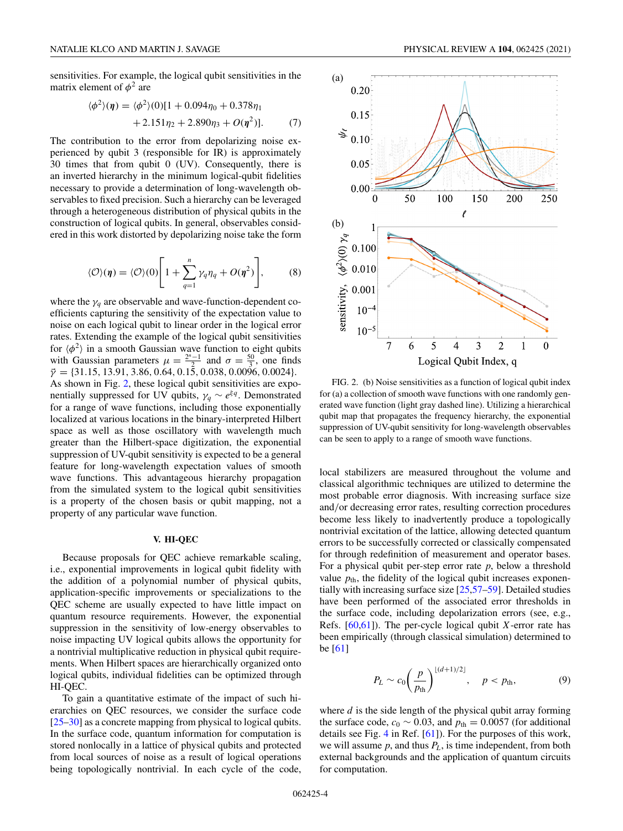<span id="page-3-0"></span>sensitivities. For example, the logical qubit sensitivities in the matrix element of  $\phi^2$  are

$$
\langle \phi^2 \rangle(\eta) = \langle \phi^2 \rangle(0)[1 + 0.094\eta_0 + 0.378\eta_1 + 2.151\eta_2 + 2.890\eta_3 + O(\eta^2)].
$$
 (7)

The contribution to the error from depolarizing noise experienced by qubit 3 (responsible for IR) is approximately 30 times that from qubit 0 (UV). Consequently, there is an inverted hierarchy in the minimum logical-qubit fidelities necessary to provide a determination of long-wavelength observables to fixed precision. Such a hierarchy can be leveraged through a heterogeneous distribution of physical qubits in the construction of logical qubits. In general, observables considered in this work distorted by depolarizing noise take the form

$$
\langle \mathcal{O} \rangle(\eta) = \langle \mathcal{O} \rangle(0) \left[ 1 + \sum_{q=1}^{n} \gamma_q \eta_q + O(\eta^2) \right], \tag{8}
$$

where the  $\gamma_q$  are observable and wave-function-dependent coefficients capturing the sensitivity of the expectation value to noise on each logical qubit to linear order in the logical error rates. Extending the example of the logical qubit sensitivities for  $\langle \phi^2 \rangle$  in a smooth Gaussian wave function to eight qubits with Gaussian parameters  $\mu = \frac{2^n - 1}{2}$  and  $\sigma = \frac{50}{3}$ , one finds  $\vec{\gamma} = \{31.15, 13.91, 3.86, 0.64, 0.15, 0.038, 0.0096, 0.0024\}.$ As shown in Fig. 2, these logical qubit sensitivities are exponentially suppressed for UV qubits,  $\gamma_q \sim e^{\xi q}$ . Demonstrated for a range of wave functions, including those exponentially localized at various locations in the binary-interpreted Hilbert space as well as those oscillatory with wavelength much greater than the Hilbert-space digitization, the exponential suppression of UV-qubit sensitivity is expected to be a general feature for long-wavelength expectation values of smooth wave functions. This advantageous hierarchy propagation from the simulated system to the logical qubit sensitivities is a property of the chosen basis or qubit mapping, not a property of any particular wave function.

#### **V. HI-QEC**

Because proposals for QEC achieve remarkable scaling, i.e., exponential improvements in logical qubit fidelity with the addition of a polynomial number of physical qubits, application-specific improvements or specializations to the QEC scheme are usually expected to have little impact on quantum resource requirements. However, the exponential suppression in the sensitivity of low-energy observables to noise impacting UV logical qubits allows the opportunity for a nontrivial multiplicative reduction in physical qubit requirements. When Hilbert spaces are hierarchically organized onto logical qubits, individual fidelities can be optimized through HI-QEC.

To gain a quantitative estimate of the impact of such hierarchies on QEC resources, we consider the surface code [\[25–30\]](#page-8-0) as a concrete mapping from physical to logical qubits. In the surface code, quantum information for computation is stored nonlocally in a lattice of physical qubits and protected from local sources of noise as a result of logical operations being topologically nontrivial. In each cycle of the code,



FIG. 2. (b) Noise sensitivities as a function of logical qubit index for (a) a collection of smooth wave functions with one randomly generated wave function (light gray dashed line). Utilizing a hierarchical qubit map that propagates the frequency hierarchy, the exponential suppression of UV-qubit sensitivity for long-wavelength observables can be seen to apply to a range of smooth wave functions.

local stabilizers are measured throughout the volume and classical algorithmic techniques are utilized to determine the most probable error diagnosis. With increasing surface size and/or decreasing error rates, resulting correction procedures become less likely to inadvertently produce a topologically nontrivial excitation of the lattice, allowing detected quantum errors to be successfully corrected or classically compensated for through redefinition of measurement and operator bases. For a physical qubit per-step error rate *p*, below a threshold value  $p_{th}$ , the fidelity of the logical qubit increases exponentially with increasing surface size [\[25](#page-8-0)[,57–59\]](#page-9-0). Detailed studies have been performed of the associated error thresholds in the surface code, including depolarization errors (see, e.g., Refs. [\[60,61\]](#page-9-0)). The per-cycle logical qubit *X*-error rate has been empirically (through classical simulation) determined to be [\[61\]](#page-9-0)

$$
P_L \sim c_0 \left(\frac{p}{p_{\text{th}}}\right)^{\lfloor (d+1)/2 \rfloor}, \quad p < p_{\text{th}}, \tag{9}
$$

where *d* is the side length of the physical qubit array forming the surface code,  $c_0 \sim 0.03$ , and  $p_{\text{th}} = 0.0057$  (for additional details see Fig. [4](#page-6-0) in Ref. [\[61\]](#page-9-0)). For the purposes of this work, we will assume *p*, and thus *PL*, is time independent, from both external backgrounds and the application of quantum circuits for computation.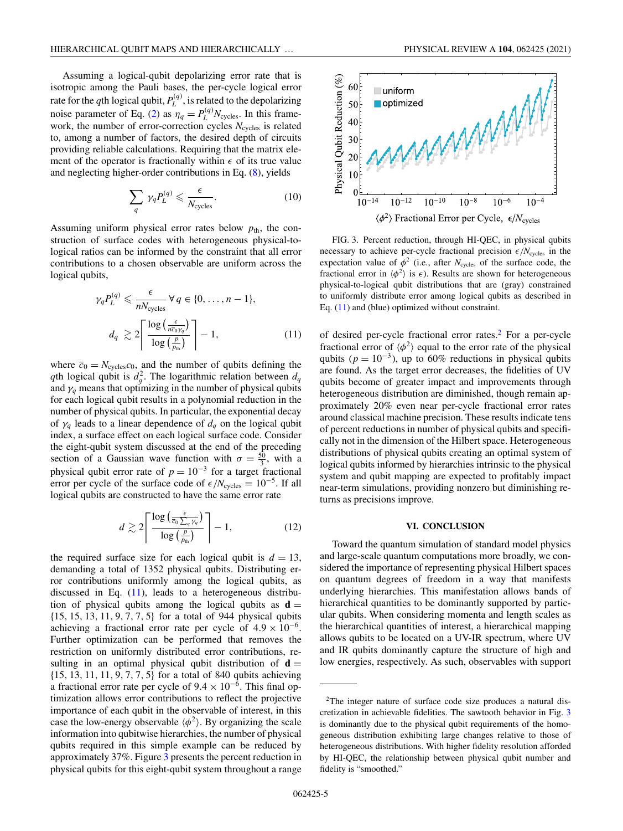Assuming a logical-qubit depolarizing error rate that is isotropic among the Pauli bases, the per-cycle logical error rate for the *q*th logical qubit,  $P_L^{(q)}$ , is related to the depolarizing noise parameter of Eq. [\(2\)](#page-2-0) as  $\eta_q = P_L^{(q)} N_{\text{cycles}}$ . In this framework, the number of error-correction cycles  $N_{\text{cycles}}$  is related to, among a number of factors, the desired depth of circuits providing reliable calculations. Requiring that the matrix element of the operator is fractionally within  $\epsilon$  of its true value and neglecting higher-order contributions in Eq. [\(8\)](#page-3-0), yields

$$
\sum_{q} \gamma_{q} P_{L}^{(q)} \leq \frac{\epsilon}{N_{\text{cycles}}}.\tag{10}
$$

Assuming uniform physical error rates below  $p_{\text{th}}$ , the construction of surface codes with heterogeneous physical-tological ratios can be informed by the constraint that all error contributions to a chosen observable are uniform across the logical qubits,

$$
\gamma_q P_L^{(q)} \leq \frac{\epsilon}{n N_{\text{cycles}}} \forall q \in \{0, \dots, n-1\},
$$

$$
d_q \gtrsim 2 \left\lceil \frac{\log \left(\frac{\epsilon}{n \bar{c}_0 \gamma_q}\right)}{\log \left(\frac{P}{p_{\text{th}}}\right)} \right\rceil - 1, \tag{11}
$$

where  $\bar{c}_0 = N_{\text{cycles}}c_0$ , and the number of qubits defining the *q*th logical qubit is  $d_q^2$ . The logarithmic relation between  $d_q$ and  $\gamma_q$  means that optimizing in the number of physical qubits for each logical qubit results in a polynomial reduction in the number of physical qubits. In particular, the exponential decay of  $\gamma_q$  leads to a linear dependence of  $d_q$  on the logical qubit index, a surface effect on each logical surface code. Consider the eight-qubit system discussed at the end of the preceding section of a Gaussian wave function with  $\sigma = \frac{50}{3}$ , with a physical qubit error rate of  $p = 10^{-3}$  for a target fractional error per cycle of the surface code of  $\epsilon/N_{\text{cycles}} = 10^{-5}$ . If all logical qubits are constructed to have the same error rate

$$
d \gtrsim 2 \left\lceil \frac{\log \left( \frac{\epsilon}{\bar{c}_0 \sum_q \gamma_q} \right)}{\log \left( \frac{p}{p_{\text{th}}} \right)} \right\rceil - 1, \tag{12}
$$

the required surface size for each logical qubit is  $d = 13$ , demanding a total of 1352 physical qubits. Distributing error contributions uniformly among the logical qubits, as discussed in Eq. (11), leads to a heterogeneous distribution of physical qubits among the logical qubits as  $\mathbf{d} =$ {15, 15, 13, 11, 9, 7, 7, 5} for a total of 944 physical qubits achieving a fractional error rate per cycle of  $4.9 \times 10^{-6}$ . Further optimization can be performed that removes the restriction on uniformly distributed error contributions, resulting in an optimal physical qubit distribution of  $\mathbf{d} =$ {15, 13, 11, 11, 9, 7, 7, 5} for a total of 840 qubits achieving a fractional error rate per cycle of  $9.4 \times 10^{-6}$ . This final optimization allows error contributions to reflect the projective importance of each qubit in the observable of interest, in this case the low-energy observable  $\langle \phi^2 \rangle$ . By organizing the scale information into qubitwise hierarchies, the number of physical qubits required in this simple example can be reduced by approximately 37%. Figure 3 presents the percent reduction in physical qubits for this eight-qubit system throughout a range



FIG. 3. Percent reduction, through HI-QEC, in physical qubits necessary to achieve per-cycle fractional precision  $\epsilon/N_{\text{cycles}}$  in the expectation value of  $\phi^2$  (i.e., after *N*<sub>cycles</sub> of the surface code, the fractional error in  $\langle \phi^2 \rangle$  is  $\epsilon$ ). Results are shown for heterogeneous physical-to-logical qubit distributions that are (gray) constrained to uniformly distribute error among logical qubits as described in Eq. (11) and (blue) optimized without constraint.

of desired per-cycle fractional error rates.2 For a per-cycle fractional error of  $\langle \phi^2 \rangle$  equal to the error rate of the physical qubits ( $p = 10^{-3}$ ), up to 60% reductions in physical qubits are found. As the target error decreases, the fidelities of UV qubits become of greater impact and improvements through heterogeneous distribution are diminished, though remain approximately 20% even near per-cycle fractional error rates around classical machine precision. These results indicate tens of percent reductions in number of physical qubits and specifically not in the dimension of the Hilbert space. Heterogeneous distributions of physical qubits creating an optimal system of logical qubits informed by hierarchies intrinsic to the physical system and qubit mapping are expected to profitably impact near-term simulations, providing nonzero but diminishing returns as precisions improve.

#### **VI. CONCLUSION**

Toward the quantum simulation of standard model physics and large-scale quantum computations more broadly, we considered the importance of representing physical Hilbert spaces on quantum degrees of freedom in a way that manifests underlying hierarchies. This manifestation allows bands of hierarchical quantities to be dominantly supported by particular qubits. When considering momenta and length scales as the hierarchical quantities of interest, a hierarchical mapping allows qubits to be located on a UV-IR spectrum, where UV and IR qubits dominantly capture the structure of high and low energies, respectively. As such, observables with support

<sup>&</sup>lt;sup>2</sup>The integer nature of surface code size produces a natural discretization in achievable fidelities. The sawtooth behavior in Fig. 3 is dominantly due to the physical qubit requirements of the homogeneous distribution exhibiting large changes relative to those of heterogeneous distributions. With higher fidelity resolution afforded by HI-QEC, the relationship between physical qubit number and fidelity is "smoothed."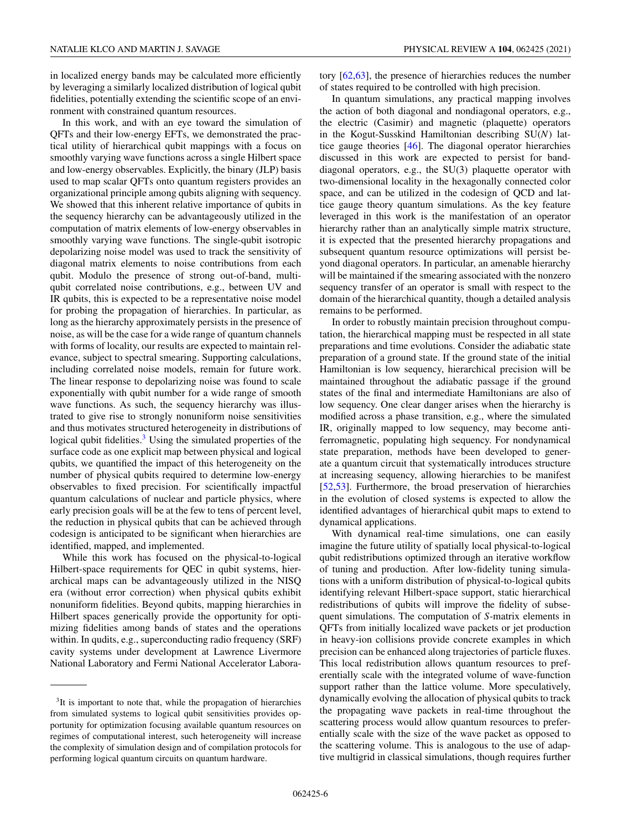in localized energy bands may be calculated more efficiently by leveraging a similarly localized distribution of logical qubit fidelities, potentially extending the scientific scope of an environment with constrained quantum resources.

In this work, and with an eye toward the simulation of QFTs and their low-energy EFTs, we demonstrated the practical utility of hierarchical qubit mappings with a focus on smoothly varying wave functions across a single Hilbert space and low-energy observables. Explicitly, the binary (JLP) basis used to map scalar QFTs onto quantum registers provides an organizational principle among qubits aligning with sequency. We showed that this inherent relative importance of qubits in the sequency hierarchy can be advantageously utilized in the computation of matrix elements of low-energy observables in smoothly varying wave functions. The single-qubit isotropic depolarizing noise model was used to track the sensitivity of diagonal matrix elements to noise contributions from each qubit. Modulo the presence of strong out-of-band, multiqubit correlated noise contributions, e.g., between UV and IR qubits, this is expected to be a representative noise model for probing the propagation of hierarchies. In particular, as long as the hierarchy approximately persists in the presence of noise, as will be the case for a wide range of quantum channels with forms of locality, our results are expected to maintain relevance, subject to spectral smearing. Supporting calculations, including correlated noise models, remain for future work. The linear response to depolarizing noise was found to scale exponentially with qubit number for a wide range of smooth wave functions. As such, the sequency hierarchy was illustrated to give rise to strongly nonuniform noise sensitivities and thus motivates structured heterogeneity in distributions of logical qubit fidelities.<sup>3</sup> Using the simulated properties of the surface code as one explicit map between physical and logical qubits, we quantified the impact of this heterogeneity on the number of physical qubits required to determine low-energy observables to fixed precision. For scientifically impactful quantum calculations of nuclear and particle physics, where early precision goals will be at the few to tens of percent level, the reduction in physical qubits that can be achieved through codesign is anticipated to be significant when hierarchies are identified, mapped, and implemented.

While this work has focused on the physical-to-logical Hilbert-space requirements for QEC in qubit systems, hierarchical maps can be advantageously utilized in the NISQ era (without error correction) when physical qubits exhibit nonuniform fidelities. Beyond qubits, mapping hierarchies in Hilbert spaces generically provide the opportunity for optimizing fidelities among bands of states and the operations within. In qudits, e.g., superconducting radio frequency (SRF) cavity systems under development at Lawrence Livermore National Laboratory and Fermi National Accelerator Laboratory [\[62,63\]](#page-9-0), the presence of hierarchies reduces the number of states required to be controlled with high precision.

In quantum simulations, any practical mapping involves the action of both diagonal and nondiagonal operators, e.g., the electric (Casimir) and magnetic (plaquette) operators in the Kogut-Susskind Hamiltonian describing SU(*N*) lattice gauge theories [\[46\]](#page-9-0). The diagonal operator hierarchies discussed in this work are expected to persist for banddiagonal operators, e.g., the SU(3) plaquette operator with two-dimensional locality in the hexagonally connected color space, and can be utilized in the codesign of QCD and lattice gauge theory quantum simulations. As the key feature leveraged in this work is the manifestation of an operator hierarchy rather than an analytically simple matrix structure, it is expected that the presented hierarchy propagations and subsequent quantum resource optimizations will persist beyond diagonal operators. In particular, an amenable hierarchy will be maintained if the smearing associated with the nonzero sequency transfer of an operator is small with respect to the domain of the hierarchical quantity, though a detailed analysis remains to be performed.

In order to robustly maintain precision throughout computation, the hierarchical mapping must be respected in all state preparations and time evolutions. Consider the adiabatic state preparation of a ground state. If the ground state of the initial Hamiltonian is low sequency, hierarchical precision will be maintained throughout the adiabatic passage if the ground states of the final and intermediate Hamiltonians are also of low sequency. One clear danger arises when the hierarchy is modified across a phase transition, e.g., where the simulated IR, originally mapped to low sequency, may become antiferromagnetic, populating high sequency. For nondynamical state preparation, methods have been developed to generate a quantum circuit that systematically introduces structure at increasing sequency, allowing hierarchies to be manifest [\[52,53\]](#page-9-0). Furthermore, the broad preservation of hierarchies in the evolution of closed systems is expected to allow the identified advantages of hierarchical qubit maps to extend to dynamical applications.

With dynamical real-time simulations, one can easily imagine the future utility of spatially local physical-to-logical qubit redistributions optimized through an iterative workflow of tuning and production. After low-fidelity tuning simulations with a uniform distribution of physical-to-logical qubits identifying relevant Hilbert-space support, static hierarchical redistributions of qubits will improve the fidelity of subsequent simulations. The computation of *S*-matrix elements in QFTs from initially localized wave packets or jet production in heavy-ion collisions provide concrete examples in which precision can be enhanced along trajectories of particle fluxes. This local redistribution allows quantum resources to preferentially scale with the integrated volume of wave-function support rather than the lattice volume. More speculatively, dynamically evolving the allocation of physical qubits to track the propagating wave packets in real-time throughout the scattering process would allow quantum resources to preferentially scale with the size of the wave packet as opposed to the scattering volume. This is analogous to the use of adaptive multigrid in classical simulations, though requires further

<sup>&</sup>lt;sup>3</sup>It is important to note that, while the propagation of hierarchies from simulated systems to logical qubit sensitivities provides opportunity for optimization focusing available quantum resources on regimes of computational interest, such heterogeneity will increase the complexity of simulation design and of compilation protocols for performing logical quantum circuits on quantum hardware.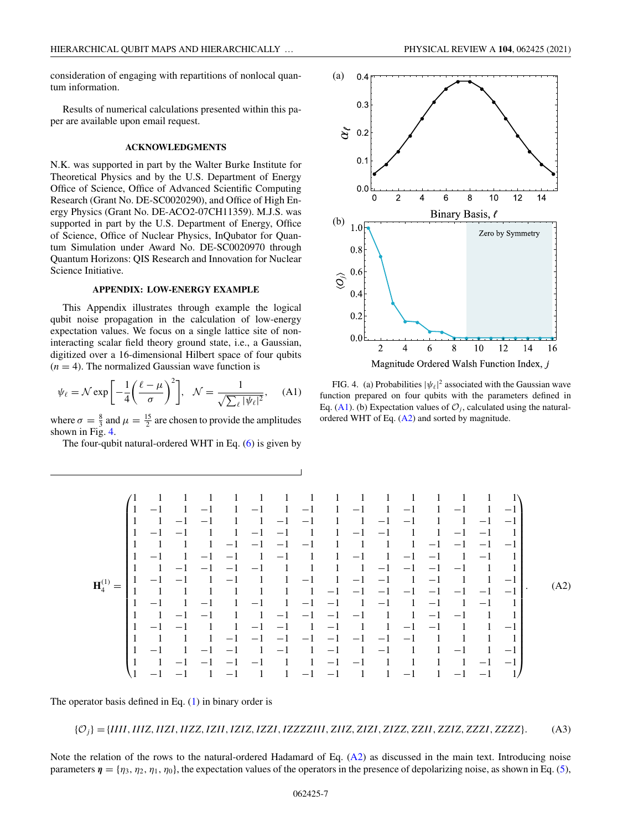<span id="page-6-0"></span>consideration of engaging with repartitions of nonlocal quantum information.

Results of numerical calculations presented within this paper are available upon email request.

#### **ACKNOWLEDGMENTS**

N.K. was supported in part by the Walter Burke Institute for Theoretical Physics and by the U.S. Department of Energy Office of Science, Office of Advanced Scientific Computing Research (Grant No. DE-SC0020290), and Office of High Energy Physics (Grant No. DE-ACO2-07CH11359). M.J.S. was supported in part by the U.S. Department of Energy, Office of Science, Office of Nuclear Physics, InQubator for Quantum Simulation under Award No. DE-SC0020970 through Quantum Horizons: QIS Research and Innovation for Nuclear Science Initiative.

## **APPENDIX: LOW-ENERGY EXAMPLE**

This Appendix illustrates through example the logical qubit noise propagation in the calculation of low-energy expectation values. We focus on a single lattice site of noninteracting scalar field theory ground state, i.e., a Gaussian, digitized over a 16-dimensional Hilbert space of four qubits  $(n = 4)$ . The normalized Gaussian wave function is

$$
\psi_{\ell} = \mathcal{N} \exp\left[-\frac{1}{4}\left(\frac{\ell-\mu}{\sigma}\right)^2\right], \quad \mathcal{N} = \frac{1}{\sqrt{\sum_{\ell} |\psi_{\ell}|^2}}, \quad \text{(A1)}
$$

where  $\sigma = \frac{8}{3}$  and  $\mu = \frac{15}{2}$  are chosen to provide the amplitudes shown in Fig. 4.

The four-qubit natural-ordered WHT in Eq.  $(6)$  is given by



FIG. 4. (a) Probabilities  $|\psi_{\ell}|^2$  associated with the Gaussian wave function prepared on four qubits with the parameters defined in Eq. (A1). (b) Expectation values of  $\mathcal{O}_i$ , calculated using the naturalordered WHT of Eq. (A2) and sorted by magnitude.

Magnitude Ordered Walsh Function Index, j

**H**(1) <sup>4</sup> = ⎛ ⎜ ⎜ ⎜ ⎜ ⎜ ⎜ ⎜ ⎜ ⎜ ⎜ ⎜ ⎜ ⎜ ⎜ ⎜ ⎜ ⎜ ⎜ ⎜ ⎜ ⎜ ⎜ ⎜ ⎜ ⎝ 1111111111111111 1 −1 1 −1 1 −1 1 −1 1 −1 1 −1 1 −1 1 −1 1 1 −1 −111 −1 −111 −1 −111 −1 −1 1 −1 −111 −1 −111 −1 −111 −1 −1 1 1111 −1 −1 −1 −11111 −1 −1 −1 −1 1 −1 1 −1 −1 1 −111 −1 1 −1 −1 1 −1 1 1 1 −1 −1 −1 −11111 −1 −1 −1 −111 1 −1 −1 1 −111 −1 1 −1 −1 1 −111 −1 11111111 −1 −1 −1 −1 −1 −1 −1 −1 1 −1 1 −1 1 −1 1 −1 −1 1 −1 1 −1 1 −1 1 1 1 −1 −111 −1 −1 −1 −111 −1 −111 1 −1 −111 −1 −1 1 −111 −1 −111 −1 1111 −1 −1 −1 −1 −1 −1 −1 −11111 1 −1 1 −1 −1 1 −1 1 −1 1 −111 −1 1 −1 1 1 −1 −1 −1 −111 −1 −11111 −1 −1 1 −1 −1 1 −111 −1 −111 −1 1 −1 −1 1 ⎞ ⎟ ⎟ ⎟ ⎟ ⎟ ⎟ ⎟ ⎟ ⎟ ⎟ ⎟ ⎟ ⎟ ⎟ ⎟ ⎟ ⎟ ⎟ ⎟ ⎟ ⎟ ⎟ ⎟ ⎟ ⎠ . (A2)

The operator basis defined in Eq.  $(1)$  in binary order is

{O*j*}={*IIII*,*IIIZ*,*IIZI*,*IIZZ*,*IZII*,*IZIZ*,*IZZI*,*IZZZZIII*, *ZIIZ*, *ZIZI*, *ZIZZ*, *ZZII*, *ZZIZ*, *ZZZI*, *ZZZZ*}. (A3)

Note the relation of the rows to the natural-ordered Hadamard of Eq. (A2) as discussed in the main text. Introducing noise parameters  $\eta = \{\eta_3, \eta_2, \eta_1, \eta_0\}$ , the expectation values of the operators in the presence of depolarizing noise, as shown in Eq. [\(5\)](#page-2-0),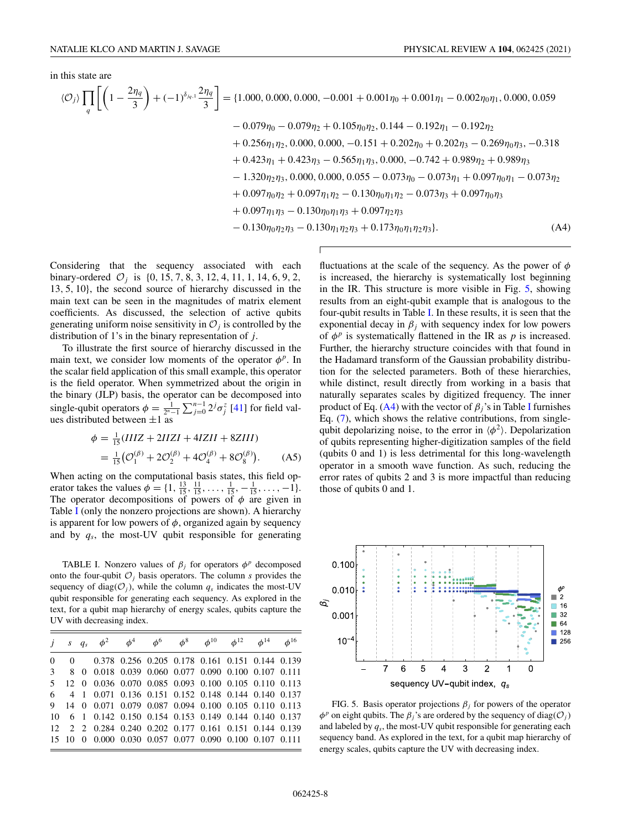in this state are

$$
\langle \mathcal{O}_j \rangle \prod_q \left[ \left( 1 - \frac{2\eta_q}{3} \right) + (-1)^{\delta_{jq,1}} \frac{2\eta_q}{3} \right] = \{1.000, 0.000, 0.000, -0.001 + 0.001\eta_0 + 0.001\eta_1 - 0.002\eta_0\eta_1, 0.000, 0.059 -0.079\eta_0 - 0.079\eta_2 + 0.105\eta_0\eta_2, 0.144 - 0.192\eta_1 - 0.192\eta_2 + 0.256\eta_1\eta_2, 0.000, 0.000, -0.151 + 0.202\eta_0 + 0.202\eta_3 - 0.269\eta_0\eta_3, -0.318 + 0.423\eta_1 + 0.423\eta_3 - 0.565\eta_1\eta_3, 0.000, -0.742 + 0.989\eta_2 + 0.989\eta_3 - 1.320\eta_2\eta_3, 0.000, 0.000, 0.055 - 0.073\eta_0 - 0.073\eta_1 + 0.097\eta_0\eta_1 - 0.073\eta_2 + 0.097\eta_0\eta_2 + 0.097\eta_1\eta_2 - 0.130\eta_0\eta_1\eta_2 - 0.073\eta_3 + 0.097\eta_0\eta_3 + 0.097\eta_1\eta_3 - 0.130\eta_0\eta_1\eta_3 + 0.097\eta_2\eta_3 - 0.130\eta_0\eta_1\eta_2\eta_3 + 0.173\eta_0\eta_1\eta_2\eta_3 \}
$$
\n(A4)

Considering that the sequency associated with each binary-ordered  $O_i$  is  $\{0, 15, 7, 8, 3, 12, 4, 11, 1, 14, 6, 9, 2,$ 13, 5, 10}, the second source of hierarchy discussed in the main text can be seen in the magnitudes of matrix element coefficients. As discussed, the selection of active qubits generating uniform noise sensitivity in  $\mathcal{O}_j$  is controlled by the distribution of 1's in the binary representation of *j*.

To illustrate the first source of hierarchy discussed in the main text, we consider low moments of the operator  $\phi^p$ . In the scalar field application of this small example, this operator is the field operator. When symmetrized about the origin in the binary (JLP) basis, the operator can be decomposed into single-qubit operators  $\phi = \frac{1}{2^n-1} \sum_{j=0}^{n-1} 2^j \sigma_j^z$  [\[41\]](#page-9-0) for field values distributed between  $\pm 1$  as

$$
\phi = \frac{1}{15}(IIIZ + 2IIZI + 4IZII + 8ZIII)
$$
  
=  $\frac{1}{15}(\mathcal{O}_1^{(\beta)} + 2\mathcal{O}_2^{(\beta)} + 4\mathcal{O}_4^{(\beta)} + 8\mathcal{O}_8^{(\beta)}).$  (A5)

When acting on the computational basis states, this field operator takes the values  $\phi = \{1, \frac{13}{15}, \frac{11}{15}, \dots, \frac{1}{15}, -\frac{1}{15}, \dots, -1\}.$ The operator decompositions of powers of  $\phi$  are given in Table I (only the nonzero projections are shown). A hierarchy is apparent for low powers of  $\phi$ , organized again by sequency and by *qs*, the most-UV qubit responsible for generating

TABLE I. Nonzero values of  $\beta_i$  for operators  $\phi^p$  decomposed onto the four-qubit  $O_i$  basis operators. The column *s* provides the sequency of diag( $\mathcal{O}_i$ ), while the column  $q_s$  indicates the most-UV qubit responsible for generating each sequency. As explored in the text, for a qubit map hierarchy of energy scales, qubits capture the UV with decreasing index.

|  |  |  | j s $q_s$ $\phi^2$ $\phi^4$ $\phi^6$ $\phi^8$ $\phi^{10}$ $\phi^{12}$ $\phi^{14}$ $\phi^{16}$ |  |  |
|--|--|--|-----------------------------------------------------------------------------------------------|--|--|
|  |  |  | 0 0 0.378 0.256 0.205 0.178 0.161 0.151 0.144 0.139                                           |  |  |
|  |  |  | 3 8 0 0.018 0.039 0.060 0.077 0.090 0.100 0.107 0.111                                         |  |  |
|  |  |  | 5 12 0 0.036 0.070 0.085 0.093 0.100 0.105 0.110 0.113                                        |  |  |
|  |  |  | 6 4 1 0.071 0.136 0.151 0.152 0.148 0.144 0.140 0.137                                         |  |  |
|  |  |  | 9 14 0 0.071 0.079 0.087 0.094 0.100 0.105 0.110 0.113                                        |  |  |
|  |  |  | 10 6 1 0.142 0.150 0.154 0.153 0.149 0.144 0.140 0.137                                        |  |  |
|  |  |  | 12 2 2 0.284 0.240 0.202 0.177 0.161 0.151 0.144 0.139                                        |  |  |
|  |  |  | 15 10 0 0.000 0.030 0.057 0.077 0.090 0.100 0.107 0.111                                       |  |  |

fluctuations at the scale of the sequency. As the power of  $\phi$ is increased, the hierarchy is systematically lost beginning in the IR. This structure is more visible in Fig. 5, showing results from an eight-qubit example that is analogous to the four-qubit results in Table I. In these results, it is seen that the exponential decay in  $\beta_i$  with sequency index for low powers of  $\phi^p$  is systematically flattened in the IR as  $p$  is increased. Further, the hierarchy structure coincides with that found in the Hadamard transform of the Gaussian probability distribution for the selected parameters. Both of these hierarchies, while distinct, result directly from working in a basis that naturally separates scales by digitized frequency. The inner product of Eq. (A4) with the vector of  $\beta_i$ 's in Table I furnishes Eq. [\(7\)](#page-3-0), which shows the relative contributions, from singlequbit depolarizing noise, to the error in  $\langle \phi^2 \rangle$ . Depolarization of qubits representing higher-digitization samples of the field (qubits 0 and 1) is less detrimental for this long-wavelength operator in a smooth wave function. As such, reducing the error rates of qubits 2 and 3 is more impactful than reducing those of qubits 0 and 1.



FIG. 5. Basis operator projections  $\beta_j$  for powers of the operator  $\phi^p$  on eight qubits. The  $\beta_i$ 's are ordered by the sequency of diag( $\mathcal{O}_i$ ) and labeled by *qs*, the most-UV qubit responsible for generating each sequency band. As explored in the text, for a qubit map hierarchy of energy scales, qubits capture the UV with decreasing index.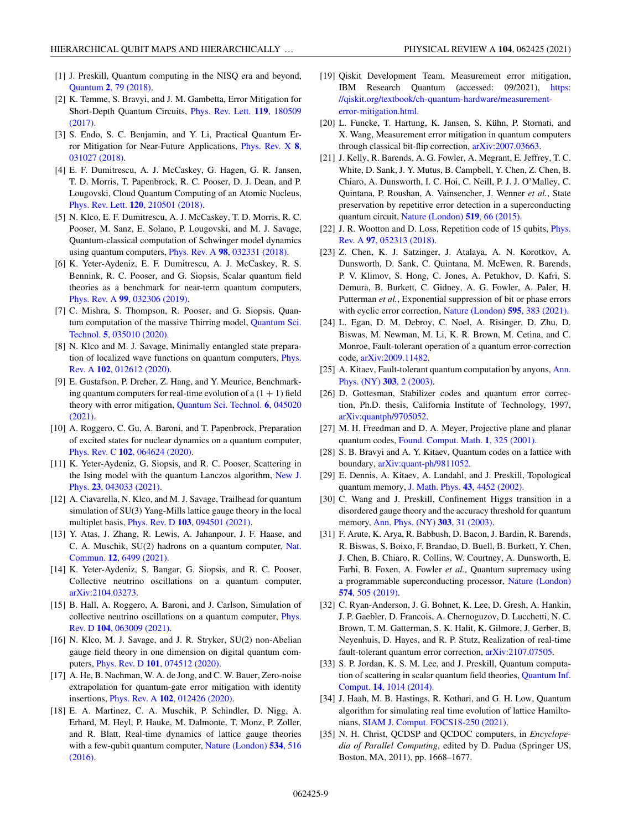- <span id="page-8-0"></span>[1] J. Preskill, Quantum computing in the NISQ era and beyond, Quantum **2**[, 79 \(2018\).](https://doi.org/10.22331/q-2018-08-06-79)
- [2] K. Temme, S. Bravyi, and J. M. Gambetta, Error Mitigation for [Short-Depth Quantum Circuits,](https://doi.org/10.1103/PhysRevLett.119.180509) Phys. Rev. Lett. **119**, 180509 (2017).
- [3] S. Endo, S. C. Benjamin, and Y. Li, Practical Quantum Er[ror Mitigation for Near-Future Applications,](https://doi.org/10.1103/PhysRevX.8.031027) Phys. Rev. X **8**, 031027 (2018).
- [4] E. F. Dumitrescu, A. J. McCaskey, G. Hagen, G. R. Jansen, T. D. Morris, T. Papenbrock, R. C. Pooser, D. J. Dean, and P. Lougovski, Cloud Quantum Computing of an Atomic Nucleus, Phys. Rev. Lett. **120**[, 210501 \(2018\).](https://doi.org/10.1103/PhysRevLett.120.210501)
- [5] N. Klco, E. F. Dumitrescu, A. J. McCaskey, T. D. Morris, R. C. Pooser, M. Sanz, E. Solano, P. Lougovski, and M. J. Savage, Quantum-classical computation of Schwinger model dynamics using quantum computers, Phys. Rev. A **98**[, 032331 \(2018\).](https://doi.org/10.1103/PhysRevA.98.032331)
- [6] K. Yeter-Aydeniz, E. F. Dumitrescu, A. J. McCaskey, R. S. Bennink, R. C. Pooser, and G. Siopsis, Scalar quantum field theories as a benchmark for near-term quantum computers, Phys. Rev. A **99**[, 032306 \(2019\).](https://doi.org/10.1103/PhysRevA.99.032306)
- [7] C. Mishra, S. Thompson, R. Pooser, and G. Siopsis, Quan[tum computation of the massive Thirring model,](https://doi.org/10.1088/2058-9565/ab8f63) Quantum Sci. Technol. **5**, 035010 (2020).
- [8] N. Klco and M. J. Savage, Minimally entangled state prepara[tion of localized wave functions on quantum computers,](https://doi.org/10.1103/PhysRevA.102.012612) Phys. Rev. A **102**, 012612 (2020).
- [9] E. Gustafson, P. Dreher, Z. Hang, and Y. Meurice, Benchmarking quantum computers for real-time evolution of a  $(1 + 1)$  field [theory with error mitigation,](https://doi.org/10.1088/2058-9565/ac1dff) Quantum Sci. Technol. **6**, 045020 (2021).
- [10] A. Roggero, C. Gu, A. Baroni, and T. Papenbrock, Preparation of excited states for nuclear dynamics on a quantum computer, Phys. Rev. C **102**[, 064624 \(2020\).](https://doi.org/10.1103/PhysRevC.102.064624)
- [11] K. Yeter-Aydeniz, G. Siopsis, and R. C. Pooser, Scattering in [the Ising model with the quantum Lanczos algorithm,](https://doi.org/10.1088/1367-2630/abe63d) New J. Phys. **23**, 043033 (2021).
- [12] A. Ciavarella, N. Klco, and M. J. Savage, Trailhead for quantum simulation of SU(3) Yang-Mills lattice gauge theory in the local multiplet basis, Phys. Rev. D **103**[, 094501 \(2021\).](https://doi.org/10.1103/PhysRevD.103.094501)
- [13] Y. Atas, J. Zhang, R. Lewis, A. Jahanpour, J. F. Haase, and [C. A. Muschik, SU\(2\) hadrons on a quantum computer,](https://doi.org/10.1038/s41467-021-26825-4) Nat. Commun. **12**, 6499 (2021).
- [14] K. Yeter-Aydeniz, S. Bangar, G. Siopsis, and R. C. Pooser, Collective neutrino oscillations on a quantum computer, [arXiv:2104.03273.](http://arxiv.org/abs/arXiv:2104.03273)
- [15] B. Hall, A. Roggero, A. Baroni, and J. Carlson, Simulation of [collective neutrino oscillations on a quantum computer,](https://doi.org/10.1103/PhysRevD.104.063009) Phys. Rev. D **104**, 063009 (2021).
- [16] N. Klco, M. J. Savage, and J. R. Stryker, SU(2) non-Abelian gauge field theory in one dimension on digital quantum computers, Phys. Rev. D **101**[, 074512 \(2020\).](https://doi.org/10.1103/PhysRevD.101.074512)
- [17] A. He, B. Nachman, W. A. de Jong, and C. W. Bauer, Zero-noise extrapolation for quantum-gate error mitigation with identity insertions, Phys. Rev. A **102**[, 012426 \(2020\).](https://doi.org/10.1103/PhysRevA.102.012426)
- [18] E. A. Martinez, C. A. Muschik, P. Schindler, D. Nigg, A. Erhard, M. Heyl, P. Hauke, M. Dalmonte, T. Monz, P. Zoller, and R. Blatt, Real-time dynamics of lattice gauge theories [with a few-qubit quantum computer,](https://doi.org/10.1038/nature18318) Nature (London) **534**, 516 (2016).
- [19] Qiskit Development Team, Measurement error mitigation, IBM Research Quantum (accessed: 09/2021), https: [//qiskit.org/textbook/ch-quantum-hardware/measurement](https://qiskit.org/textbook/ch-quantum-hardware/measurement-error-mitigation.html)error-mitigation.html.
- [20] L. Funcke, T. Hartung, K. Jansen, S. Kühn, P. Stornati, and X. Wang, Measurement error mitigation in quantum computers through classical bit-flip correction, [arXiv:2007.03663.](http://arxiv.org/abs/arXiv:2007.03663)
- [21] J. Kelly, R. Barends, A. G. Fowler, A. Megrant, E. Jeffrey, T. C. White, D. Sank, J. Y. Mutus, B. Campbell, Y. Chen, Z. Chen, B. Chiaro, A. Dunsworth, I. C. Hoi, C. Neill, P. J. J. O'Malley, C. Quintana, P. Roushan, A. Vainsencher, J. Wenner *et al.*, State preservation by repetitive error detection in a superconducting quantum circuit, [Nature \(London\)](https://doi.org/10.1038/nature14270) **519**, 66 (2015).
- [22] [J. R. Wootton and D. Loss, Repetition code of 15 qubits,](https://doi.org/10.1103/PhysRevA.97.052313) *Phys.* Rev. A **97**, 052313 (2018).
- [23] Z. Chen, K. J. Satzinger, J. Atalaya, A. N. Korotkov, A. Dunsworth, D. Sank, C. Quintana, M. McEwen, R. Barends, P. V. Klimov, S. Hong, C. Jones, A. Petukhov, D. Kafri, S. Demura, B. Burkett, C. Gidney, A. G. Fowler, A. Paler, H. Putterman *et al.*, Exponential suppression of bit or phase errors with cyclic error correction, [Nature \(London\)](https://doi.org/10.1038/s41586-021-03588-y) **595**, 383 (2021).
- [24] L. Egan, D. M. Debroy, C. Noel, A. Risinger, D. Zhu, D. Biswas, M. Newman, M. Li, K. R. Brown, M. Cetina, and C. Monroe, Fault-tolerant operation of a quantum error-correction code, [arXiv:2009.11482.](http://arxiv.org/abs/arXiv:2009.11482)
- [25] [A. Kitaev, Fault-tolerant quantum computation by anyons,](https://doi.org/10.1016/S0003-4916(02)00018-0) Ann. Phys. (NY) **303**, 2 (2003).
- [26] D. Gottesman, Stabilizer codes and quantum error correction, Ph.D. thesis, California Institute of Technology, 1997, [arXiv:quantph/9705052.](http://arxiv.org/abs/arXiv:quantph/9705052)
- [27] M. H. Freedman and D. A. Meyer, Projective plane and planar quantum codes, [Found. Comput. Math.](https://doi.org/10.1007/s102080010013) **1**, 325 (2001).
- [28] S. B. Bravyi and A. Y. Kitaev, Quantum codes on a lattice with boundary, [arXiv:quant-ph/9811052.](http://arxiv.org/abs/arXiv:quant-ph/9811052)
- [29] E. Dennis, A. Kitaev, A. Landahl, and J. Preskill, Topological quantum memory, [J. Math. Phys.](https://doi.org/10.1063/1.1499754) **43**, 4452 (2002).
- [30] C. Wang and J. Preskill, Confinement Higgs transition in a disordered gauge theory and the accuracy threshold for quantum memory, [Ann. Phys. \(NY\)](https://doi.org/10.1016/S0003-4916(02)00019-2) **303**, 31 (2003).
- [31] F. Arute, K. Arya, R. Babbush, D. Bacon, J. Bardin, R. Barends, R. Biswas, S. Boixo, F. Brandao, D. Buell, B. Burkett, Y. Chen, J. Chen, B. Chiaro, R. Collins, W. Courtney, A. Dunsworth, E. Farhi, B. Foxen, A. Fowler *et al.*, Quantum supremacy using [a programmable superconducting processor,](https://doi.org/10.1038/s41586-019-1666-5) Nature (London) **574**, 505 (2019).
- [32] C. Ryan-Anderson, J. G. Bohnet, K. Lee, D. Gresh, A. Hankin, J. P. Gaebler, D. Francois, A. Chernoguzov, D. Lucchetti, N. C. Brown, T. M. Gatterman, S. K. Halit, K. Gilmore, J. Gerber, B. Neyenhuis, D. Hayes, and R. P. Stutz, Realization of real-time fault-tolerant quantum error correction, [arXiv:2107.07505.](http://arxiv.org/abs/arXiv:2107.07505)
- [33] S. P. Jordan, K. S. M. Lee, and J. Preskill, Quantum computa[tion of scattering in scalar quantum field theories,](https://doi.org/10.26421/QIC14.11-12-8) Quantum Inf. Comput. **14**, 1014 (2014).
- [34] J. Haah, M. B. Hastings, R. Kothari, and G. H. Low, Quantum algorithm for simulating real time evolution of lattice Hamiltonians, [SIAM J. Comput. FOCS18-250 \(2021\).](https://doi.org/10.1137/18M1231511)
- [35] N. H. Christ, QCDSP and QCDOC computers, in *Encyclopedia of Parallel Computing*, edited by D. Padua (Springer US, Boston, MA, 2011), pp. 1668–1677.